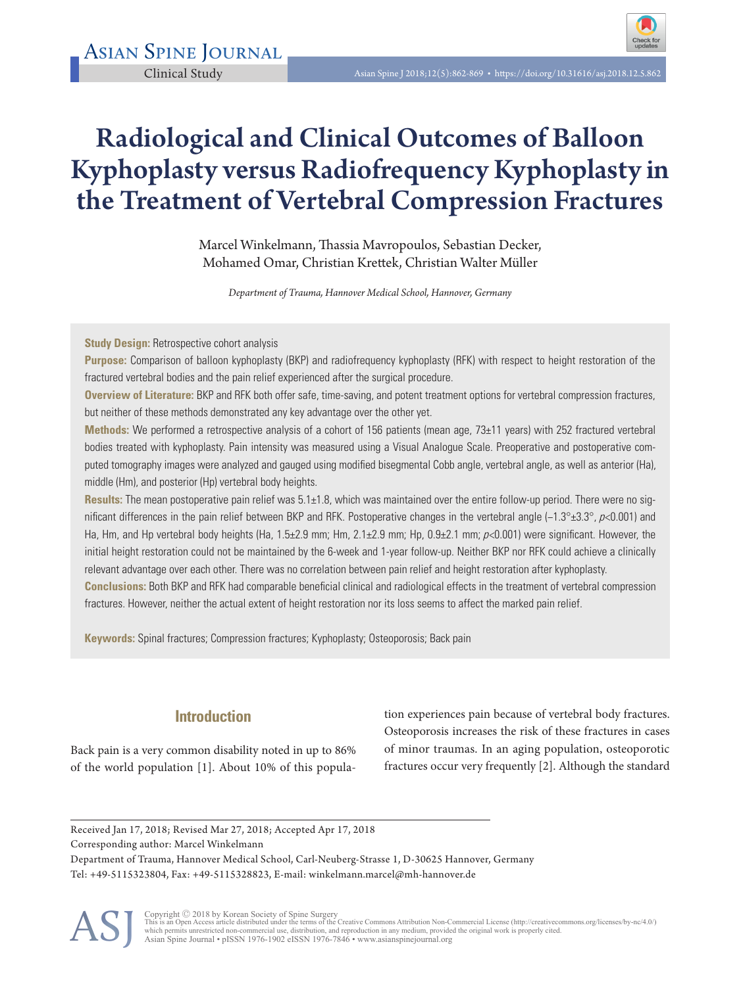# Radiological and Clinical Outcomes of Balloon Kyphoplasty versus Radiofrequency Kyphoplasty in the Treatment of Vertebral Compression Fractures

Marcel Winkelmann, Thassia Mavropoulos, Sebastian Decker, Mohamed Omar, Christian Krettek, Christian Walter Müller

*Department of Trauma, Hannover Medical School, Hannover, Germany*

**Study Design: Retrospective cohort analysis** 

**Purpose:** Comparison of balloon kyphoplasty (BKP) and radiofrequency kyphoplasty (RFK) with respect to height restoration of the fractured vertebral bodies and the pain relief experienced after the surgical procedure.

**Overview of Literature:** BKP and RFK both offer safe, time-saving, and potent treatment options for vertebral compression fractures, but neither of these methods demonstrated any key advantage over the other yet.

**Methods:** We performed a retrospective analysis of a cohort of 156 patients (mean age, 73±11 years) with 252 fractured vertebral bodies treated with kyphoplasty. Pain intensity was measured using a Visual Analogue Scale. Preoperative and postoperative computed tomography images were analyzed and gauged using modified bisegmental Cobb angle, vertebral angle, as well as anterior (Ha), middle (Hm), and posterior (Hp) vertebral body heights.

**Results:** The mean postoperative pain relief was 5.1±1.8, which was maintained over the entire follow-up period. There were no significant differences in the pain relief between BKP and RFK. Postoperative changes in the vertebral angle (−1.3°±3.3°, p<0.001) and Ha, Hm, and Hp vertebral body heights (Ha, 1.5±2.9 mm; Hm, 2.1±2.9 mm; Hp, 0.9±2.1 mm;  $p<0.001$ ) were significant. However, the initial height restoration could not be maintained by the 6-week and 1-year follow-up. Neither BKP nor RFK could achieve a clinically relevant advantage over each other. There was no correlation between pain relief and height restoration after kyphoplasty.

**Conclusions:** Both BKP and RFK had comparable beneficial clinical and radiological effects in the treatment of vertebral compression fractures. However, neither the actual extent of height restoration nor its loss seems to affect the marked pain relief.

**Keywords:** Spinal fractures; Compression fractures; Kyphoplasty; Osteoporosis; Back pain

# **Introduction**

Back pain is a very common disability noted in up to 86% of the world population [1]. About 10% of this popula-

tion experiences pain because of vertebral body fractures. Osteoporosis increases the risk of these fractures in cases of minor traumas. In an aging population, osteoporotic fractures occur very frequently [2]. Although the standard

Received Jan 17, 2018; Revised Mar 27, 2018; Accepted Apr 17, 2018

Corresponding author: Marcel Winkelmann

Department of Trauma, Hannover Medical School, Carl-Neuberg-Strasse 1, D-30625 Hannover, Germany Tel: +49-5115323804, Fax: +49-5115328823, E-mail: winkelmann.marcel@mh-hannover.de



Copyright © 2018 by Korean Society of Spine Surgery<br>This is an Open Access article distributed under the terms of the Creative Commons Attribution Non-Commercial License (http://creativecommons.org/licenses/by-nc/4.0/)<br>whi Asian Spine Journal • pISSN 1976-1902 eISSN 1976-7846 • www.asianspinejournal.org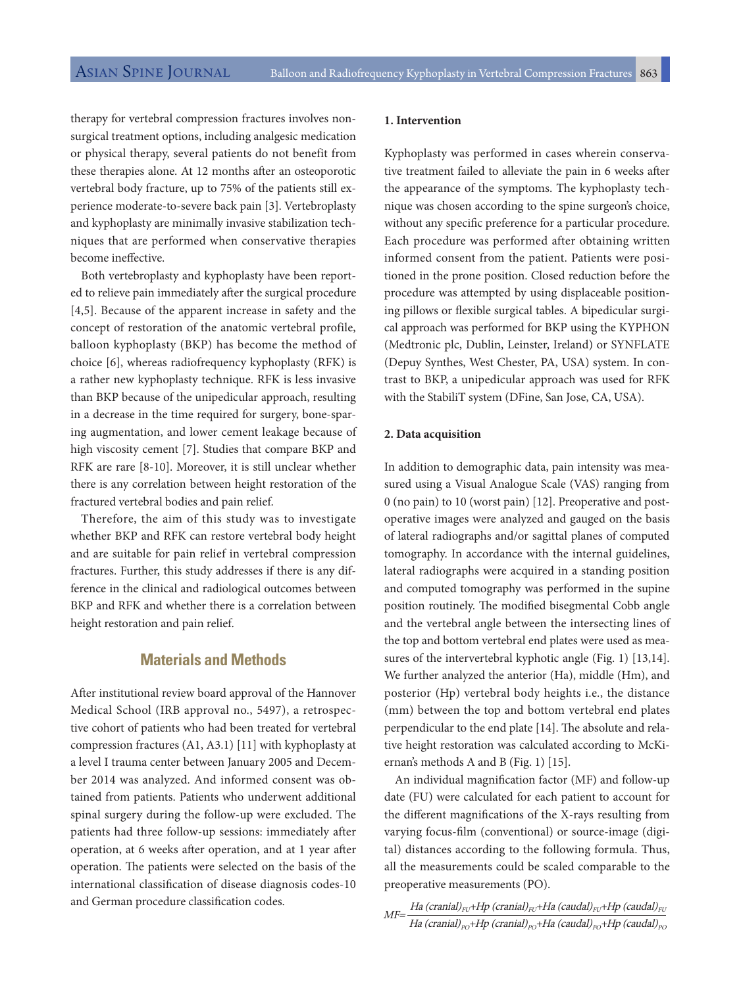therapy for vertebral compression fractures involves nonsurgical treatment options, including analgesic medication or physical therapy, several patients do not benefit from these therapies alone. At 12 months after an osteoporotic vertebral body fracture, up to 75% of the patients still experience moderate-to-severe back pain [3]. Vertebroplasty and kyphoplasty are minimally invasive stabilization techniques that are performed when conservative therapies become ineffective.

Both vertebroplasty and kyphoplasty have been reported to relieve pain immediately after the surgical procedure [4,5]. Because of the apparent increase in safety and the concept of restoration of the anatomic vertebral profile, balloon kyphoplasty (BKP) has become the method of choice [6], whereas radiofrequency kyphoplasty (RFK) is a rather new kyphoplasty technique. RFK is less invasive than BKP because of the unipedicular approach, resulting in a decrease in the time required for surgery, bone-sparing augmentation, and lower cement leakage because of high viscosity cement [7]. Studies that compare BKP and RFK are rare [8-10]. Moreover, it is still unclear whether there is any correlation between height restoration of the fractured vertebral bodies and pain relief.

Therefore, the aim of this study was to investigate whether BKP and RFK can restore vertebral body height and are suitable for pain relief in vertebral compression fractures. Further, this study addresses if there is any difference in the clinical and radiological outcomes between BKP and RFK and whether there is a correlation between height restoration and pain relief.

## **Materials and Methods**

After institutional review board approval of the Hannover Medical School (IRB approval no., 5497), a retrospective cohort of patients who had been treated for vertebral compression fractures (A1, A3.1) [11] with kyphoplasty at a level I trauma center between January 2005 and December 2014 was analyzed. And informed consent was obtained from patients. Patients who underwent additional spinal surgery during the follow-up were excluded. The patients had three follow-up sessions: immediately after operation, at 6 weeks after operation, and at 1 year after operation. The patients were selected on the basis of the international classification of disease diagnosis codes-10 and German procedure classification codes.

#### **1. Intervention**

Kyphoplasty was performed in cases wherein conservative treatment failed to alleviate the pain in 6 weeks after the appearance of the symptoms. The kyphoplasty technique was chosen according to the spine surgeon's choice, without any specific preference for a particular procedure. Each procedure was performed after obtaining written informed consent from the patient. Patients were positioned in the prone position. Closed reduction before the procedure was attempted by using displaceable positioning pillows or flexible surgical tables. A bipedicular surgical approach was performed for BKP using the KYPHON (Medtronic plc, Dublin, Leinster, Ireland) or SYNFLATE (Depuy Synthes, West Chester, PA, USA) system. In contrast to BKP, a unipedicular approach was used for RFK with the StabiliT system (DFine, San Jose, CA, USA).

## **2. Data acquisition**

In addition to demographic data, pain intensity was measured using a Visual Analogue Scale (VAS) ranging from 0 (no pain) to 10 (worst pain) [12]. Preoperative and postoperative images were analyzed and gauged on the basis of lateral radiographs and/or sagittal planes of computed tomography. In accordance with the internal guidelines, lateral radiographs were acquired in a standing position and computed tomography was performed in the supine position routinely. The modified bisegmental Cobb angle and the vertebral angle between the intersecting lines of the top and bottom vertebral end plates were used as measures of the intervertebral kyphotic angle (Fig. 1) [13,14]. We further analyzed the anterior (Ha), middle (Hm), and posterior (Hp) vertebral body heights i.e., the distance (mm) between the top and bottom vertebral end plates perpendicular to the end plate [14]. The absolute and relative height restoration was calculated according to McKiernan's methods A and B (Fig. 1) [15].

An individual magnification factor (MF) and follow-up date (FU) were calculated for each patient to account for the different magnifications of the X-rays resulting from varying focus-film (conventional) or source-image (digital) distances according to the following formula. Thus, all the measurements could be scaled comparable to the preoperative measurements (PO).

 $M$ F $=$   $H$ a (cranial) $_{FU}$ +Hp (cranial) $_{FU}$ +Ha (caudal) $_{FU}$ +Hp (caudal) $_{FU}$ Ha (cranial) $_{\rm{po}}$ +Hp (cranial) $_{\rm{po}}$ +Ha (caudal) $_{\rm{po}}$ +Hp (caudal) $_{\rm{po}}$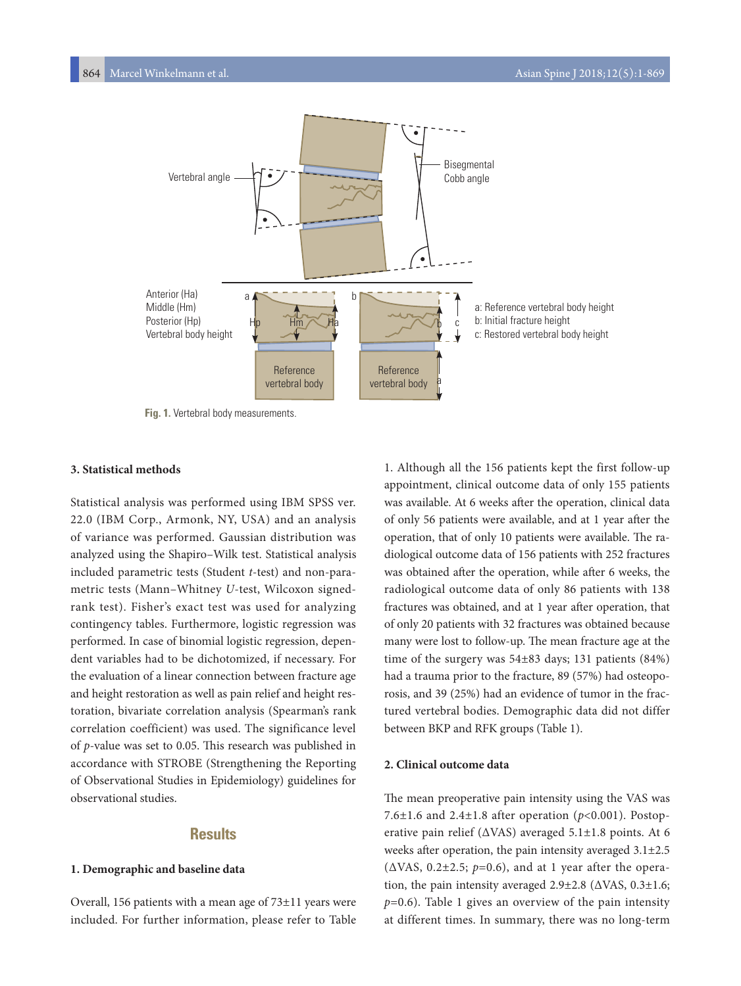

**Fig. 1.** Vertebral body measurements.

## **3. Statistical methods**

Statistical analysis was performed using IBM SPSS ver. 22.0 (IBM Corp., Armonk, NY, USA) and an analysis of variance was performed. Gaussian distribution was analyzed using the Shapiro–Wilk test. Statistical analysis included parametric tests (Student *t*-test) and non-parametric tests (Mann–Whitney *U*-test, Wilcoxon signedrank test). Fisher's exact test was used for analyzing contingency tables. Furthermore, logistic regression was performed. In case of binomial logistic regression, dependent variables had to be dichotomized, if necessary. For the evaluation of a linear connection between fracture age and height restoration as well as pain relief and height restoration, bivariate correlation analysis (Spearman's rank correlation coefficient) was used. The significance level of *p*-value was set to 0.05. This research was published in accordance with STROBE (Strengthening the Reporting of Observational Studies in Epidemiology) guidelines for observational studies.

# **Results**

## **1. Demographic and baseline data**

Overall, 156 patients with a mean age of 73±11 years were included. For further information, please refer to Table

1. Although all the 156 patients kept the first follow-up appointment, clinical outcome data of only 155 patients was available. At 6 weeks after the operation, clinical data of only 56 patients were available, and at 1 year after the operation, that of only 10 patients were available. The radiological outcome data of 156 patients with 252 fractures was obtained after the operation, while after 6 weeks, the radiological outcome data of only 86 patients with 138 fractures was obtained, and at 1 year after operation, that of only 20 patients with 32 fractures was obtained because many were lost to follow-up. The mean fracture age at the time of the surgery was 54±83 days; 131 patients (84%) had a trauma prior to the fracture, 89 (57%) had osteoporosis, and 39 (25%) had an evidence of tumor in the fractured vertebral bodies. Demographic data did not differ between BKP and RFK groups (Table 1).

## **2. Clinical outcome data**

The mean preoperative pain intensity using the VAS was 7.6±1.6 and 2.4±1.8 after operation (*p*<0.001). Postoperative pain relief (ΔVAS) averaged 5.1±1.8 points. At 6 weeks after operation, the pain intensity averaged 3.1±2.5 (ΔVAS, 0.2±2.5; *p*=0.6), and at 1 year after the operation, the pain intensity averaged  $2.9\pm2.8$  ( $\triangle$ VAS,  $0.3\pm1.6$ ; *p*=0.6). Table 1 gives an overview of the pain intensity at different times. In summary, there was no long-term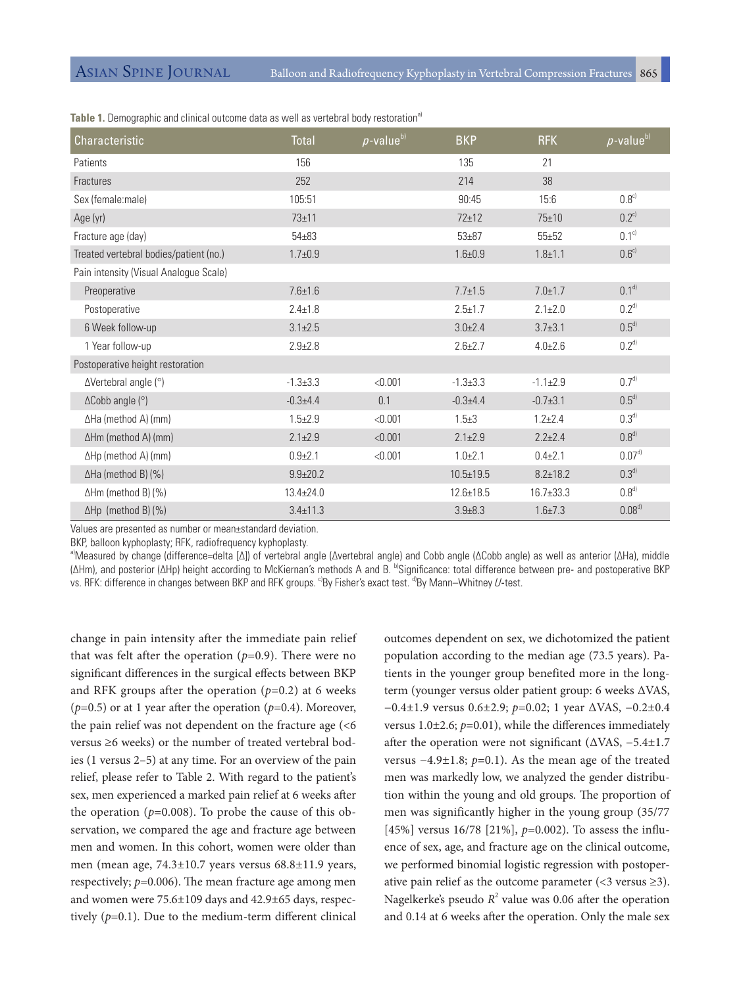| Characteristic                         | Total           | $p$ -value $b)$ | <b>BKP</b>      | <b>RFK</b>      | $\rho$ -value <sup>b)</sup> |
|----------------------------------------|-----------------|-----------------|-----------------|-----------------|-----------------------------|
| Patients                               | 156             |                 | 135             | 21              |                             |
| Fractures                              | 252             |                 | 214             | 38              |                             |
| Sex (female:male)                      | 105:51          |                 | 90:45           | 15:6            | $0.8^{c}$                   |
| Age (yr)                               | $73 + 11$       |                 | $72 + 12$       | 75±10           | $0.2^{\text{c}}$            |
| Fracture age (day)                     | $54 + 83$       |                 | $53 + 87$       | $55 + 52$       | 0.1 <sup>c</sup>            |
| Treated vertebral bodies/patient (no.) | $1.7 + 0.9$     |                 | $1.6 + 0.9$     | $1.8 + 1.1$     | 0.6 <sup>c</sup>            |
| Pain intensity (Visual Analogue Scale) |                 |                 |                 |                 |                             |
| Preoperative                           | $7.6 \pm 1.6$   |                 | $7.7 \pm 1.5$   | $7.0 \pm 1.7$   | $0.1^{d}$                   |
| Postoperative                          | $2.4 \pm 1.8$   |                 | $2.5 \pm 1.7$   | $2.1 \pm 2.0$   | $0.2^{d}$                   |
| 6 Week follow-up                       | $3.1 \pm 2.5$   |                 | $3.0 \pm 2.4$   | $3.7 \pm 3.1$   | $0.5^{d}$                   |
| 1 Year follow-up                       | $2.9 + 2.8$     |                 | $2.6 \pm 2.7$   | $4.0 + 2.6$     | $0.2^{d}$                   |
| Postoperative height restoration       |                 |                 |                 |                 |                             |
| $\Delta$ Vertebral angle ( $\degree$ ) | $-1.3 \pm 3.3$  | < 0.001         | $-1.3 \pm 3.3$  | $-1.1 \pm 2.9$  | 0.7 <sup>d</sup>            |
| $\Delta$ Cobb angle ( $\degree$ )      | $-0.3 + 4.4$    | 0.1             | $-0.3 + 4.4$    | $-0.7 \pm 3.1$  | 0.5 <sup>d</sup>            |
| ∆Ha (method A) (mm)                    | $1.5 + 2.9$     | < 0.001         | $1.5 + 3$       | $1.2 + 2.4$     | 0.3 <sup>d</sup>            |
| ∆Hm (method A) (mm)                    | $2.1 \pm 2.9$   | < 0.001         | $2.1 \pm 2.9$   | $2.2 + 2.4$     | $0.8^{d}$                   |
| ∆Hp (method A) (mm)                    | $0.9 + 2.1$     | < 0.001         | $1.0 + 2.1$     | $0.4 + 2.1$     | 0.07 <sup>d</sup>           |
| $\Delta$ Ha (method B) (%)             | $9.9 + 20.2$    |                 | $10.5 \pm 19.5$ | $8.2 \pm 18.2$  | 0.3 <sup>d</sup>            |
| $\Delta$ Hm (method B) (%)             | $13.4 \pm 24.0$ |                 | $12.6 \pm 18.5$ | $16.7 \pm 33.3$ | $0.8^{d}$                   |
| $\Delta$ Hp (method B) (%)             | $3.4 \pm 11.3$  |                 | $3.9 + 8.3$     | $1.6 \pm 7.3$   | $0.08^{d}$                  |

**Table 1.** Demographic and clinical outcome data as well as vertebral body restoration<sup>a)</sup>

Values are presented as number or mean±standard deviation.

BKP, balloon kyphoplasty; RFK, radiofrequency kyphoplasty.

a)Measured by change (difference=delta [Δ]) of vertebral angle (Δvertebral angle) and Cobb angle (ΔCobb angle) as well as anterior (ΔHa), middle (ΔHm), and posterior (ΔHp) height according to McKiernan's methods A and B. bSignificance: total difference between pre- and postoperative BKP vs. RFK: difference in changes between BKP and RFK groups. <sup>c</sup>By Fisher's exact test. <sup>d</sup>By Mann–Whitney U-test.

change in pain intensity after the immediate pain relief that was felt after the operation  $(p=0.9)$ . There were no significant differences in the surgical effects between BKP and RFK groups after the operation  $(p=0.2)$  at 6 weeks (*p*=0.5) or at 1 year after the operation (*p*=0.4). Moreover, the pain relief was not dependent on the fracture age (<6 versus ≥6 weeks) or the number of treated vertebral bodies (1 versus 2–5) at any time. For an overview of the pain relief, please refer to Table 2. With regard to the patient's sex, men experienced a marked pain relief at 6 weeks after the operation  $(p=0.008)$ . To probe the cause of this observation, we compared the age and fracture age between men and women. In this cohort, women were older than men (mean age, 74.3±10.7 years versus 68.8±11.9 years, respectively; *p*=0.006). The mean fracture age among men and women were 75.6±109 days and 42.9±65 days, respectively (*p*=0.1). Due to the medium-term different clinical

outcomes dependent on sex, we dichotomized the patient population according to the median age (73.5 years). Patients in the younger group benefited more in the longterm (younger versus older patient group: 6 weeks ΔVAS, −0.4±1.9 versus 0.6±2.9; *p*=0.02; 1 year ΔVAS, −0.2±0.4 versus 1.0±2.6; *p*=0.01), while the differences immediately after the operation were not significant (ΔVAS, −5.4±1.7 versus −4.9±1.8; *p*=0.1). As the mean age of the treated men was markedly low, we analyzed the gender distribution within the young and old groups. The proportion of men was significantly higher in the young group (35/77 [45%] versus 16/78 [21%], *p*=0.002). To assess the influence of sex, age, and fracture age on the clinical outcome, we performed binomial logistic regression with postoperative pain relief as the outcome parameter  $\left($  <3 versus  $\geq$ 3). Nagelkerke's pseudo  $R^2$  value was 0.06 after the operation and 0.14 at 6 weeks after the operation. Only the male sex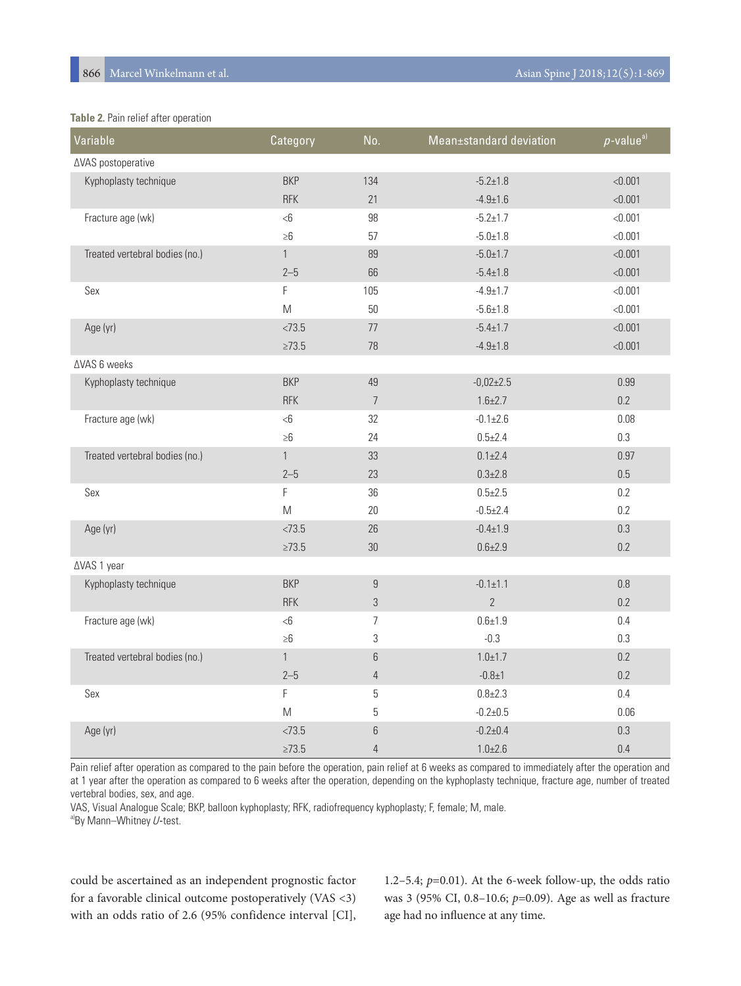## **Table 2.** Pain relief after operation

| Variable                       | Category                                                                                                   | No.              | Mean±standard deviation | $p$ -value <sup>a)</sup> |
|--------------------------------|------------------------------------------------------------------------------------------------------------|------------------|-------------------------|--------------------------|
| ∆VAS postoperative             |                                                                                                            |                  |                         |                          |
| Kyphoplasty technique          | <b>BKP</b>                                                                                                 | 134              | $-5.2 \pm 1.8$          | < 0.001                  |
|                                | <b>RFK</b>                                                                                                 | 21               | $-4.9 \pm 1.6$          | < 0.001                  |
| Fracture age (wk)              | $<$ 6                                                                                                      | 98               | $-5.2 \pm 1.7$          | < 0.001                  |
|                                | $\geq 6$                                                                                                   | 57               | $-5.0 + 1.8$            | < 0.001                  |
| Treated vertebral bodies (no.) | $\mathbf{1}$                                                                                               | 89               | $-5.0 \pm 1.7$          | < 0.001                  |
|                                | $2 - 5$                                                                                                    | 66               | $-5.4 \pm 1.8$          | < 0.001                  |
| Sex                            | F                                                                                                          | 105              | $-4.9 \pm 1.7$          | < 0.001                  |
|                                | $\mathsf{M}% _{T}=\mathsf{M}_{T}\!\left( a,b\right) ,\ \mathsf{M}_{T}=\mathsf{M}_{T}\!\left( a,b\right) ,$ | 50               | $-5.6 \pm 1.8$          | < 0.001                  |
| Age (yr)                       | < 73.5                                                                                                     | $77 \,$          | $-5.4 \pm 1.7$          | < 0.001                  |
|                                | $\geq 73.5$                                                                                                | 78               | $-4.9 \pm 1.8$          | < 0.001                  |
| ∆VAS 6 weeks                   |                                                                                                            |                  |                         |                          |
| Kyphoplasty technique          | <b>BKP</b>                                                                                                 | 49               | $-0,02\pm2.5$           | 0.99                     |
|                                | <b>RFK</b>                                                                                                 | $\overline{7}$   | $1.6 \pm 2.7$           | 0.2                      |
| Fracture age (wk)              | <6                                                                                                         | 32               | $-0.1 \pm 2.6$          | 0.08                     |
|                                | $\geq 6$                                                                                                   | 24               | $0.5 + 2.4$             | 0.3                      |
| Treated vertebral bodies (no.) | $\mathbf{1}$                                                                                               | 33               | $0.1 \pm 2.4$           | 0.97                     |
|                                | $2 - 5$                                                                                                    | 23               | $0.3 + 2.8$             | 0.5                      |
| Sex                            | F                                                                                                          | 36               | $0.5 + 2.5$             | 0.2                      |
|                                | $\mathsf{M}% _{T}=\mathsf{M}_{T}\!\left( a,b\right) ,\ \mathsf{M}_{T}=\mathsf{M}_{T}\!\left( a,b\right) ,$ | 20               | $-0.5 \pm 2.4$          | 0.2                      |
| Age (yr)                       | < 73.5                                                                                                     | 26               | $-0.4 \pm 1.9$          | 0.3                      |
|                                | $\geq 73.5$                                                                                                | 30               | $0.6 + 2.9$             | 0.2                      |
| ∆VAS 1 year                    |                                                                                                            |                  |                         |                          |
| Kyphoplasty technique          | <b>BKP</b>                                                                                                 | $\boldsymbol{9}$ | $-0.1 \pm 1.1$          | $0.8\,$                  |
|                                | <b>RFK</b>                                                                                                 | $\mathfrak{Z}$   | $\overline{2}$          | 0.2                      |
| Fracture age (wk)              | $<\!\!6$                                                                                                   | $\overline{7}$   | $0.6 + 1.9$             | 0.4                      |
|                                | $\geq 6$                                                                                                   | 3                | $-0.3$                  | 0.3                      |
| Treated vertebral bodies (no.) | $\mathbf{1}$                                                                                               | 6                | $1.0 + 1.7$             | $0.2\,$                  |
|                                | $2 - 5$                                                                                                    | $\overline{4}$   | $-0.8 + 1$              | 0.2                      |
| Sex                            | F                                                                                                          | $\mathbf 5$      | $0.8 + 2.3$             | 0.4                      |
|                                | $\mathsf{M}% _{T}=\mathsf{M}_{T}\!\left( a,b\right) ,\ \mathsf{M}_{T}=\mathsf{M}_{T}\!\left( a,b\right) ,$ | $\mathbf 5$      | $-0.2 + 0.5$            | 0.06                     |
| Age (yr)                       | < 73.5                                                                                                     | 6                | $-0.2+0.4$              | 0.3                      |
|                                | $\geq 73.5$                                                                                                | $\overline{4}$   | $1.0 + 2.6$             | 0.4                      |

Pain relief after operation as compared to the pain before the operation, pain relief at 6 weeks as compared to immediately after the operation and at 1 year after the operation as compared to 6 weeks after the operation, depending on the kyphoplasty technique, fracture age, number of treated vertebral bodies, sex, and age.

VAS, Visual Analogue Scale; BKP, balloon kyphoplasty; RFK, radiofrequency kyphoplasty; F, female; M, male.

a)By Mann–Whitney  $U$ -test.

could be ascertained as an independent prognostic factor for a favorable clinical outcome postoperatively (VAS <3) with an odds ratio of 2.6 (95% confidence interval [CI],

1.2–5.4; *p*=0.01). At the 6-week follow-up, the odds ratio was 3 (95% CI, 0.8–10.6; *p*=0.09). Age as well as fracture age had no influence at any time.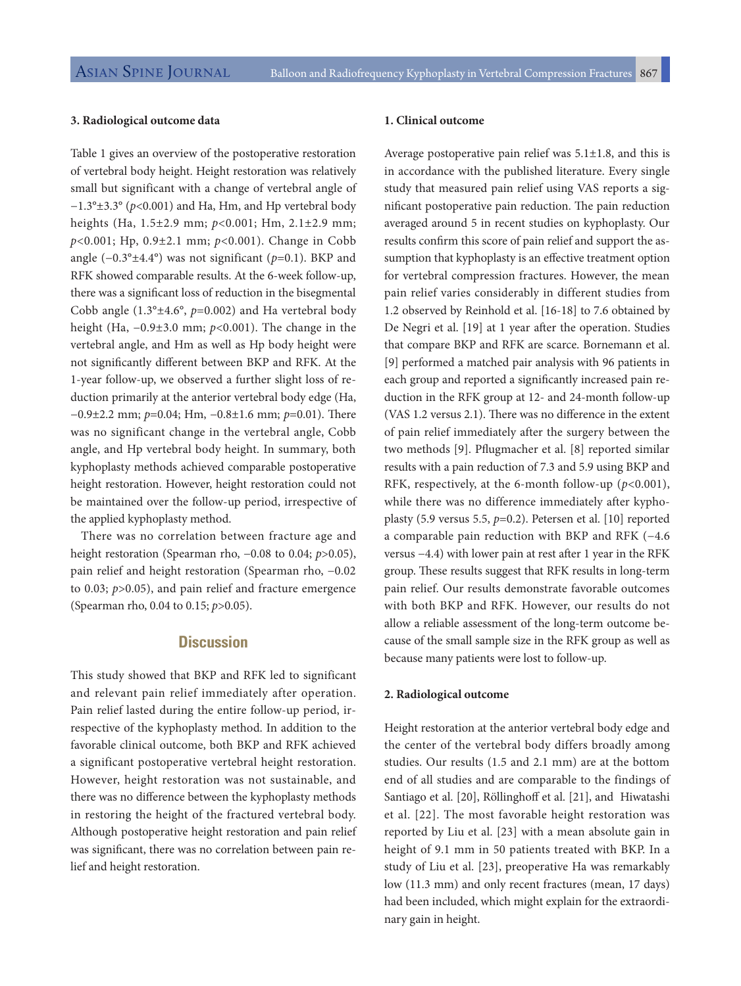#### **3. Radiological outcome data**

Table 1 gives an overview of the postoperative restoration of vertebral body height. Height restoration was relatively small but significant with a change of vertebral angle of −1.3°±3.3° (*p*<0.001) and Ha, Hm, and Hp vertebral body heights (Ha, 1.5±2.9 mm; *p*<0.001; Hm, 2.1±2.9 mm; *p*<0.001; Hp, 0.9±2.1 mm; *p*<0.001). Change in Cobb angle (−0.3°±4.4°) was not significant (*p*=0.1). BKP and RFK showed comparable results. At the 6-week follow-up, there was a significant loss of reduction in the bisegmental Cobb angle (1.3°±4.6°, *p*=0.002) and Ha vertebral body height (Ha, −0.9±3.0 mm; *p*<0.001). The change in the vertebral angle, and Hm as well as Hp body height were not significantly different between BKP and RFK. At the 1-year follow-up, we observed a further slight loss of reduction primarily at the anterior vertebral body edge (Ha, −0.9±2.2 mm; *p*=0.04; Hm, −0.8±1.6 mm; *p*=0.01). There was no significant change in the vertebral angle, Cobb angle, and Hp vertebral body height. In summary, both kyphoplasty methods achieved comparable postoperative height restoration. However, height restoration could not be maintained over the follow-up period, irrespective of the applied kyphoplasty method.

There was no correlation between fracture age and height restoration (Spearman rho, −0.08 to 0.04; *p*>0.05), pain relief and height restoration (Spearman rho, −0.02 to 0.03; *p*>0.05), and pain relief and fracture emergence (Spearman rho, 0.04 to 0.15; *p*>0.05).

## **Discussion**

This study showed that BKP and RFK led to significant and relevant pain relief immediately after operation. Pain relief lasted during the entire follow-up period, irrespective of the kyphoplasty method. In addition to the favorable clinical outcome, both BKP and RFK achieved a significant postoperative vertebral height restoration. However, height restoration was not sustainable, and there was no difference between the kyphoplasty methods in restoring the height of the fractured vertebral body. Although postoperative height restoration and pain relief was significant, there was no correlation between pain relief and height restoration.

## **1. Clinical outcome**

Average postoperative pain relief was 5.1±1.8, and this is in accordance with the published literature. Every single study that measured pain relief using VAS reports a significant postoperative pain reduction. The pain reduction averaged around 5 in recent studies on kyphoplasty. Our results confirm this score of pain relief and support the assumption that kyphoplasty is an effective treatment option for vertebral compression fractures. However, the mean pain relief varies considerably in different studies from 1.2 observed by Reinhold et al. [16-18] to 7.6 obtained by De Negri et al. [19] at 1 year after the operation. Studies that compare BKP and RFK are scarce. Bornemann et al. [9] performed a matched pair analysis with 96 patients in each group and reported a significantly increased pain reduction in the RFK group at 12- and 24-month follow-up (VAS 1.2 versus 2.1). There was no difference in the extent of pain relief immediately after the surgery between the two methods [9]. Pflugmacher et al. [8] reported similar results with a pain reduction of 7.3 and 5.9 using BKP and RFK, respectively, at the 6-month follow-up (*p*<0.001), while there was no difference immediately after kyphoplasty (5.9 versus 5.5, *p*=0.2). Petersen et al. [10] reported a comparable pain reduction with BKP and RFK (−4.6 versus −4.4) with lower pain at rest after 1 year in the RFK group. These results suggest that RFK results in long-term pain relief. Our results demonstrate favorable outcomes with both BKP and RFK. However, our results do not allow a reliable assessment of the long-term outcome because of the small sample size in the RFK group as well as because many patients were lost to follow-up.

#### **2. Radiological outcome**

Height restoration at the anterior vertebral body edge and the center of the vertebral body differs broadly among studies. Our results (1.5 and 2.1 mm) are at the bottom end of all studies and are comparable to the findings of Santiago et al. [20], Röllinghoff et al. [21], and Hiwatashi et al. [22]. The most favorable height restoration was reported by Liu et al. [23] with a mean absolute gain in height of 9.1 mm in 50 patients treated with BKP. In a study of Liu et al. [23], preoperative Ha was remarkably low (11.3 mm) and only recent fractures (mean, 17 days) had been included, which might explain for the extraordinary gain in height.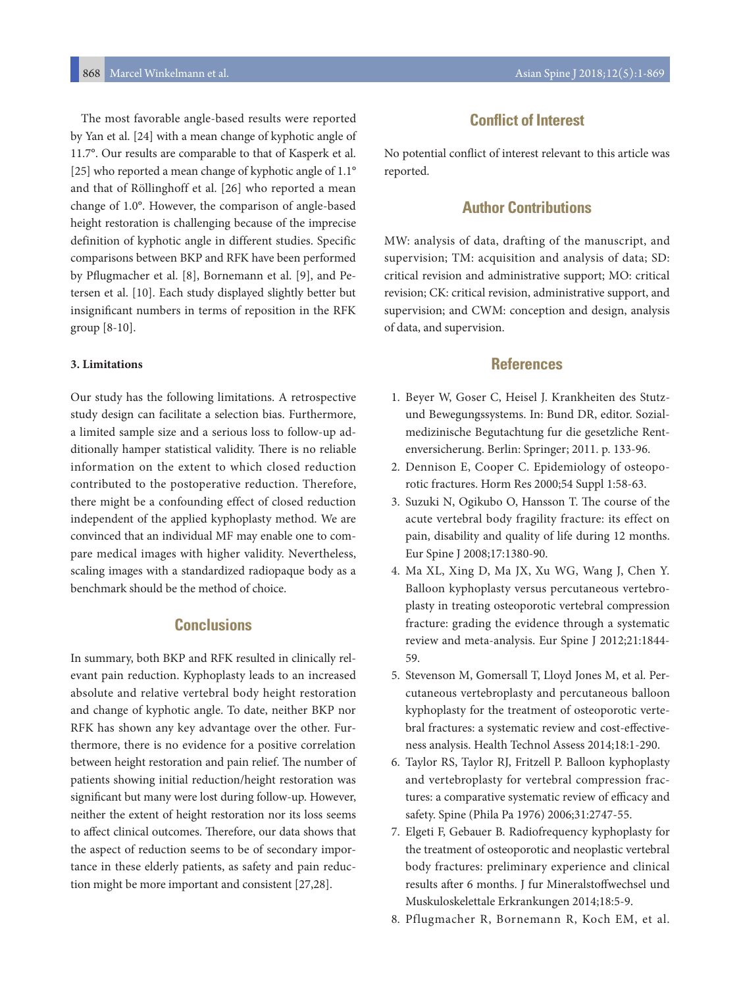The most favorable angle-based results were reported by Yan et al. [24] with a mean change of kyphotic angle of 11.7°. Our results are comparable to that of Kasperk et al. [25] who reported a mean change of kyphotic angle of 1.1° and that of Röllinghoff et al. [26] who reported a mean change of 1.0°. However, the comparison of angle-based height restoration is challenging because of the imprecise definition of kyphotic angle in different studies. Specific comparisons between BKP and RFK have been performed by Pflugmacher et al. [8], Bornemann et al. [9], and Petersen et al. [10]. Each study displayed slightly better but insignificant numbers in terms of reposition in the RFK group [8-10].

## **3. Limitations**

Our study has the following limitations. A retrospective study design can facilitate a selection bias. Furthermore, a limited sample size and a serious loss to follow-up additionally hamper statistical validity. There is no reliable information on the extent to which closed reduction contributed to the postoperative reduction. Therefore, there might be a confounding effect of closed reduction independent of the applied kyphoplasty method. We are convinced that an individual MF may enable one to compare medical images with higher validity. Nevertheless, scaling images with a standardized radiopaque body as a benchmark should be the method of choice.

# **Conclusions**

In summary, both BKP and RFK resulted in clinically relevant pain reduction. Kyphoplasty leads to an increased absolute and relative vertebral body height restoration and change of kyphotic angle. To date, neither BKP nor RFK has shown any key advantage over the other. Furthermore, there is no evidence for a positive correlation between height restoration and pain relief. The number of patients showing initial reduction/height restoration was significant but many were lost during follow-up. However, neither the extent of height restoration nor its loss seems to affect clinical outcomes. Therefore, our data shows that the aspect of reduction seems to be of secondary importance in these elderly patients, as safety and pain reduction might be more important and consistent [27,28].

# **Conflict of Interest**

No potential conflict of interest relevant to this article was reported.

# **Author Contributions**

MW: analysis of data, drafting of the manuscript, and supervision; TM: acquisition and analysis of data; SD: critical revision and administrative support; MO: critical revision; CK: critical revision, administrative support, and supervision; and CWM: conception and design, analysis of data, and supervision.

# **References**

- 1. Beyer W, Goser C, Heisel J. Krankheiten des Stutzund Bewegungssystems. In: Bund DR, editor. Sozialmedizinische Begutachtung fur die gesetzliche Rentenversicherung. Berlin: Springer; 2011. p. 133-96.
- 2. Dennison E, Cooper C. Epidemiology of osteoporotic fractures. Horm Res 2000;54 Suppl 1:58-63.
- 3. Suzuki N, Ogikubo O, Hansson T. The course of the acute vertebral body fragility fracture: its effect on pain, disability and quality of life during 12 months. Eur Spine J 2008;17:1380-90.
- 4. Ma XL, Xing D, Ma JX, Xu WG, Wang J, Chen Y. Balloon kyphoplasty versus percutaneous vertebroplasty in treating osteoporotic vertebral compression fracture: grading the evidence through a systematic review and meta-analysis. Eur Spine J 2012;21:1844- 59.
- 5. Stevenson M, Gomersall T, Lloyd Jones M, et al. Percutaneous vertebroplasty and percutaneous balloon kyphoplasty for the treatment of osteoporotic vertebral fractures: a systematic review and cost-effectiveness analysis. Health Technol Assess 2014;18:1-290.
- 6. Taylor RS, Taylor RJ, Fritzell P. Balloon kyphoplasty and vertebroplasty for vertebral compression fractures: a comparative systematic review of efficacy and safety. Spine (Phila Pa 1976) 2006;31:2747-55.
- 7. Elgeti F, Gebauer B. Radiofrequency kyphoplasty for the treatment of osteoporotic and neoplastic vertebral body fractures: preliminary experience and clinical results after 6 months. J fur Mineralstoffwechsel und Muskuloskelettale Erkrankungen 2014;18:5-9.
- 8. Pflugmacher R, Bornemann R, Koch EM, et al.